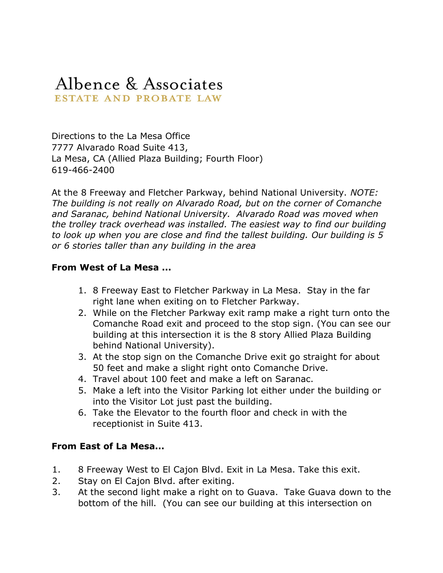## Albence & Associates ESTATE AND PROBATE LAW

Directions to the La Mesa Office 7777 Alvarado Road Suite 413, La Mesa, CA (Allied Plaza Building; Fourth Floor) 619-466-2400

At the 8 Freeway and Fletcher Parkway, behind National University. NOTE: The building is not really on Alvarado Road, but on the corner of Comanche and Saranac, behind National University. Alvarado Road was moved when the trolley track overhead was installed. The easiest way to find our building to look up when you are close and find the tallest building. Our building is 5 or 6 stories taller than any building in the area

## From West of La Mesa ...

- 1. 8 Freeway East to Fletcher Parkway in La Mesa. Stay in the far right lane when exiting on to Fletcher Parkway.
- 2. While on the Fletcher Parkway exit ramp make a right turn onto the Comanche Road exit and proceed to the stop sign. (You can see our building at this intersection it is the 8 story Allied Plaza Building behind National University).
- 3. At the stop sign on the Comanche Drive exit go straight for about 50 feet and make a slight right onto Comanche Drive.
- 4. Travel about 100 feet and make a left on Saranac.
- 5. Make a left into the Visitor Parking lot either under the building or into the Visitor Lot just past the building.
- 6. Take the Elevator to the fourth floor and check in with the receptionist in Suite 413.

## From East of La Mesa...

- 1. 8 Freeway West to El Cajon Blvd. Exit in La Mesa. Take this exit.
- 2. Stay on El Cajon Blvd. after exiting.
- 3. At the second light make a right on to Guava. Take Guava down to the bottom of the hill. (You can see our building at this intersection on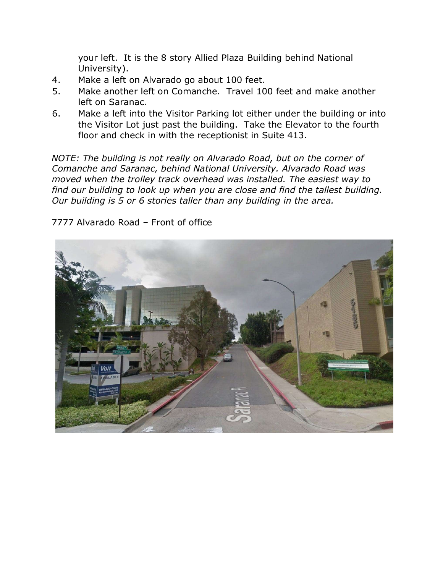your left. It is the 8 story Allied Plaza Building behind National University).

- 4. Make a left on Alvarado go about 100 feet.
- 5. Make another left on Comanche. Travel 100 feet and make another left on Saranac.
- 6. Make a left into the Visitor Parking lot either under the building or into the Visitor Lot just past the building. Take the Elevator to the fourth floor and check in with the receptionist in Suite 413.

NOTE: The building is not really on Alvarado Road, but on the corner of Comanche and Saranac, behind National University. Alvarado Road was moved when the trolley track overhead was installed. The easiest way to find our building to look up when you are close and find the tallest building. Our building is 5 or 6 stories taller than any building in the area.

7777 Alvarado Road – Front of office